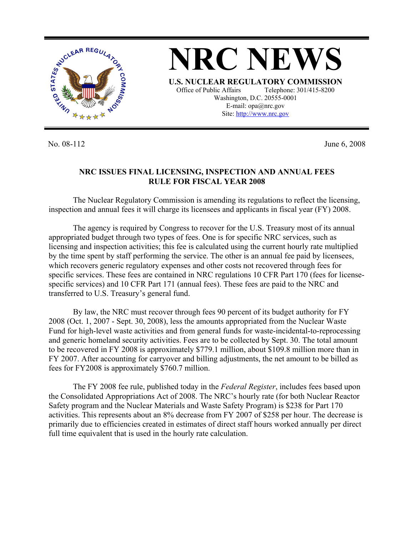

**NRC NEWS U.S. NUCLEAR REGULATORY COMMISSION** Office of Public Affairs Telephone: 301/415-8200 Washington, D.C. 20555-0001 E-mail: opa@nrc.gov Site: http://www.nrc.gov

No. 08-112 June 6, 2008

## **NRC ISSUES FINAL LICENSING, INSPECTION AND ANNUAL FEES RULE FOR FISCAL YEAR 2008**

The Nuclear Regulatory Commission is amending its regulations to reflect the licensing, inspection and annual fees it will charge its licensees and applicants in fiscal year (FY) 2008.

The agency is required by Congress to recover for the U.S. Treasury most of its annual appropriated budget through two types of fees. One is for specific NRC services, such as licensing and inspection activities; this fee is calculated using the current hourly rate multiplied by the time spent by staff performing the service. The other is an annual fee paid by licensees, which recovers generic regulatory expenses and other costs not recovered through fees for specific services. These fees are contained in NRC regulations 10 CFR Part 170 (fees for licensespecific services) and 10 CFR Part 171 (annual fees). These fees are paid to the NRC and transferred to U.S. Treasury's general fund.

By law, the NRC must recover through fees 90 percent of its budget authority for FY 2008 (Oct. 1, 2007 - Sept. 30, 2008), less the amounts appropriated from the Nuclear Waste Fund for high-level waste activities and from general funds for waste-incidental-to-reprocessing and generic homeland security activities. Fees are to be collected by Sept. 30. The total amount to be recovered in FY 2008 is approximately \$779.1 million, about \$109.8 million more than in FY 2007. After accounting for carryover and billing adjustments, the net amount to be billed as fees for FY2008 is approximately \$760.7 million.

The FY 2008 fee rule, published today in the *Federal Register*, includes fees based upon the Consolidated Appropriations Act of 2008. The NRC's hourly rate (for both Nuclear Reactor Safety program and the Nuclear Materials and Waste Safety Program) is \$238 for Part 170 activities. This represents about an 8% decrease from FY 2007 of \$258 per hour. The decrease is primarily due to efficiencies created in estimates of direct staff hours worked annually per direct full time equivalent that is used in the hourly rate calculation.